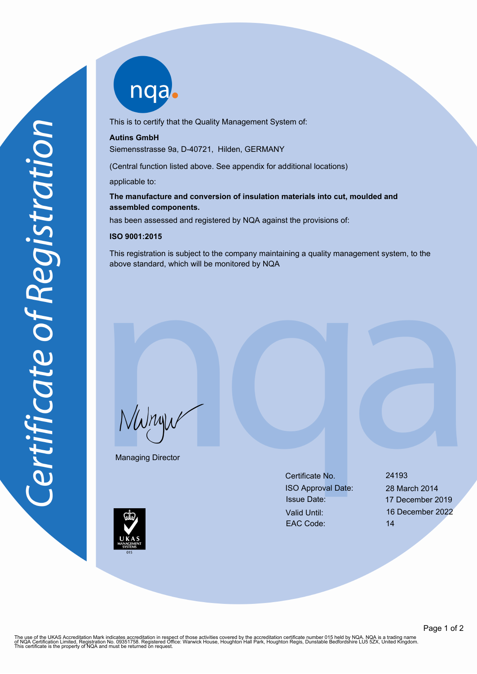nqab

This is to certify that the Quality Management System of:

## **Autins GmbH**

Siemensstrasse 9a, D-40721, Hilden, GERMANY

(Central function listed above. See appendix for additional locations)

applicable to:

## **The manufacture and conversion of insulation materials into cut, moulded and assembled components.**

has been assessed and registered by NQA against the provisions of:

## **ISO 9001:2015**

This registration is subject to the company maintaining a quality management system, to the above standard, which will be monitored by NQA

NWnyw

Managing Director

Certificate No. 24193 ISO Approval Date: 28 March 2014 Issue Date: 17 December 2019 Valid Until: 16 December 2022 EAC Code: 14



The use of the UKAS Accreditation Mark indicates accreditation in respect of those activities covered by the accreditation certificate number 015 held by NQA. NQA is a trading name<br>of NQA Certification Limited, Registratio